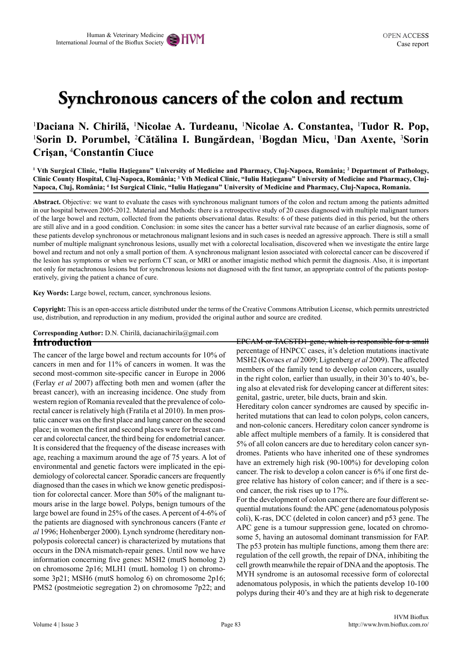# **Synchronous cancers of the colon and rectum**

# 1 **Daciana N. Chirilă,** <sup>1</sup> **Nicolae A. Turdeanu,** <sup>1</sup> **Nicolae A. Constantea,** <sup>1</sup> **Tudor R. Pop,**  <sup>1</sup>Sorin D. Porumbel, <sup>2</sup>Cătălina I. Bungărdean, <sup>1</sup>Bogdan Micu, <sup>1</sup>Dan Axente, <sup>3</sup>Sorin **Crişan,** <sup>4</sup> **Constantin Ciuce**

<sup>1</sup> Vth Surgical Clinic, "Iuliu Hațieganu" University of Medicine and Pharmacy, Cluj-Napoca, România; <sup>2</sup> Department of Pathology, Clinic County Hospital, Cluj-Napoca, România; <sup>3</sup> Vth Medical Clinic, "Iuliu Hațieganu" University of Medicine and Pharmacy, Cluj-**Napoca, Cluj, România; <sup>4</sup> Ist Surgical Clinic, "Iuliu Haţieganu" University of Medicine and Pharmacy, Cluj-Napoca, Romania.**

**Abstract.** Objective: we want to evaluate the cases with synchronous malignant tumors of the colon and rectum among the patients admitted in our hospital between 2005-2012. Material and Methods: there is a retrospective study of 20 cases diagnosed with multiple malignant tumors of the large bowel and rectum, collected from the patients observational datas. Results: 6 of these patients died in this period, but the others are still alive and in a good condition. Conclusion: in some sites the cancer has a better survival rate because of an earlier diagnosis, some of these patients develop synchronous or metachronous malignant lesions and in such cases is needed an agressive approach. There is still a small number of multiple malignant synchronous lesions, usually met with a colorectal localisation, discovered when we investigate the entire large bowel and rectum and not only a small portion of them. A synchronous malignant lesion associated with colorectal cancer can be discovered if the lesion has symptoms or when we perform CT scan, or MRI or another imagistic method which permit the diagnosis. Also, it is important not only for metachronous lesions but for synchronous lesions not diagnosed with the first tumor, an appropriate control of the patients postoperatively, giving the patient a chance of cure.

**Key Words:** Large bowel, rectum, cancer, synchronous lesions.

**Copyright:** This is an open-access article distributed under the terms of the Creative Commons Attribution License, which permits unrestricted use, distribution, and reproduction in any medium, provided the original author and source are credited.

#### **Introduction Corresponding Author:** D.N. Chirilă, dacianachirila@gmail.com

The cancer of the large bowel and rectum accounts for 10% of cancers in men and for 11% of cancers in women. It was the second most-common site-specific cancer in Europe in 2006 (Ferlay *et al* 2007) affecting both men and women (after the breast cancer), with an increasing incidence. One study from western region of Romania revealed that the prevalence of colorectal cancer is relatively high (Fratila et al 2010). In men prostatic cancer was on the first place and lung cancer on the second place; in women the first and second places were for breast cancer and colorectal cancer, the third being for endometrial cancer. It is considered that the frequency of the disease increases with age, reaching a maximum around the age of 75 years. A lot of environmental and genetic factors were implicated in the epidemiology of colorectal cancer. Sporadic cancers are frequently diagnosed than the cases in which we know genetic predisposition for colorectal cancer. More than 50% of the malignant tumours arise in the large bowel. Polyps, benign tumours of the large bowel are found in 25% of the cases. A percent of 4-6% of the patients are diagnosed with synchronous cancers (Fante *et al* 1996; Hohenberger 2000). Lynch syndrome (hereditary nonpolyposis colorectal cancer) is characterized by mutations that occurs in the DNA mismatch-repair genes. Until now we have information concerning five genes: MSH2 (mutS homolog 2) on chromosome 2p16; MLH1 (mutL homolog 1) on chromosome 3p21; MSH6 (mutS homolog 6) on chromosome 2p16; PMS2 (postmeiotic segregation 2) on chromosome 7p22; and

EPCAM or TACSTD1 gene, which is responsible for a small percentage of HNPCC cases, it's deletion mutations inactivate MSH2 (Kovacs *et al* 2009; Ligtenberg *et al* 2009). The affected members of the family tend to develop colon cancers, usually in the right colon, earlier than usually, in their 30's to 40's, being also at elevated risk for developing cancer at different sites: genital, gastric, ureter, bile ducts, brain and skin.

Hereditary colon cancer syndromes are caused by specific inherited mutations that can lead to colon polyps, colon cancers, and non-colonic cancers. Hereditary colon cancer syndrome is able affect multiple members of a family. It is considered that 5% of all colon cancers are due to hereditary colon cancer syndromes. Patients who have inherited one of these syndromes have an extremely high risk (90-100%) for developing colon cancer. The risk to develop a colon cancer is 6% if one first degree relative has history of colon cancer; and if there is a second cancer, the risk rises up to 17%.

For the development of colon cancer there are four different sequential mutations found: the APC gene (adenomatous polyposis coli), K-ras, DCC (deleted in colon cancer) and p53 gene. The APC gene is a tumour suppression gene, located on chromosome 5, having an autosomal dominant transmission for FAP. The p53 protein has multiple functions, among them there are: regulation of the cell growth, the repair of DNA, inhibiting the cell growth meanwhile the repair of DNA and the apoptosis. The MYH syndrome is an autosomal recessive form of colorectal adenomatous polyposis, in which the patients develop 10-100 polyps during their 40's and they are at high risk to degenerate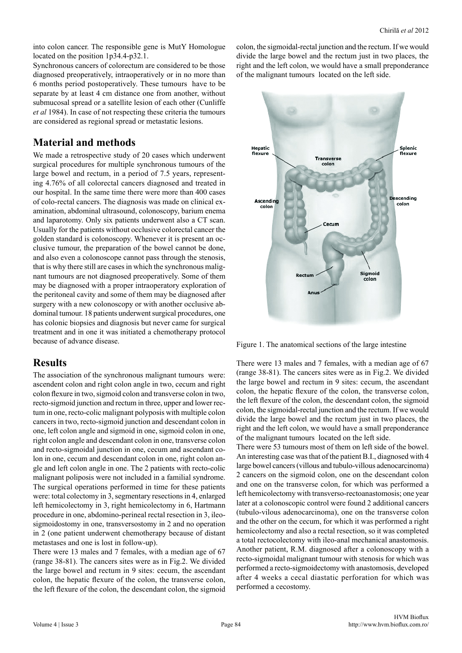into colon cancer. The responsible gene is MutY Homologue located on the position 1p34.4-p32.1.

Synchronous cancers of colorectum are considered to be those diagnosed preoperatively, intraoperatively or in no more than 6 months period postoperatively. These tumours have to be separate by at least 4 cm distance one from another, without submucosal spread or a satellite lesion of each other (Cunliffe *et al* 1984). In case of not respecting these criteria the tumours are considered as regional spread or metastatic lesions.

# **Material and methods**

We made a retrospective study of 20 cases which underwent surgical procedures for multiple synchronous tumours of the large bowel and rectum, in a period of 7.5 years, representing 4.76% of all colorectal cancers diagnosed and treated in our hospital. In the same time there were more than 400 cases of colo-rectal cancers. The diagnosis was made on clinical examination, abdominal ultrasound, colonoscopy, barium enema and laparotomy. Only six patients underwent also a CT scan. Usually for the patients without occlusive colorectal cancer the golden standard is colonoscopy. Whenever it is present an occlusive tumour, the preparation of the bowel cannot be done, and also even a colonoscope cannot pass through the stenosis, that is why there still are cases in which the synchronous malignant tumours are not diagnosed preoperatively. Some of them may be diagnosed with a proper intraoperatory exploration of the peritoneal cavity and some of them may be diagnosed after surgery with a new colonoscopy or with another occlusive abdominal tumour. 18 patients underwent surgical procedures, one has colonic biopsies and diagnosis but never came for surgical treatment and in one it was initiated a chemotherapy protocol because of advance disease.

#### **Results**

The association of the synchronous malignant tumours were: ascendent colon and right colon angle in two, cecum and right colon flexure in two, sigmoid colon and transverse colon in two, recto-sigmoid junction and rectum in three, upper and lower rectum in one, recto-colic malignant polyposis with multiple colon cancers in two, recto-sigmoid junction and descendant colon in one, left colon angle and sigmoid in one, sigmoid colon in one, right colon angle and descendant colon in one, transverse colon and recto-sigmoidal junction in one, cecum and ascendant colon in one, cecum and descendant colon in one, right colon angle and left colon angle in one. The 2 patients with recto-colic malignant poliposis were not included in a familial syndrome. The surgical operations performed in time for these patients were: total colectomy in 3, segmentary resections in 4, enlarged left hemicolectomy in 3, right hemicolectomy in 6, Hartmann procedure in one, abdomino-perineal rectal resection in 3, ileosigmoidostomy in one, transversostomy in 2 and no operation in 2 (one patient underwent chemotherapy because of distant metastases and one is lost in follow-up).

There were 13 males and 7 females, with a median age of 67 (range 38-81). The cancers sites were as in Fig.2. We divided the large bowel and rectum in 9 sites: cecum, the ascendant colon, the hepatic flexure of the colon, the transverse colon, the left flexure of the colon, the descendant colon, the sigmoid colon, the sigmoidal-rectal junction and the rectum. If we would divide the large bowel and the rectum just in two places, the right and the left colon, we would have a small preponderance of the malignant tumours located on the left side.



Figure 1. The anatomical sections of the large intestine

There were 13 males and 7 females, with a median age of 67 (range 38-81). The cancers sites were as in Fig.2. We divided the large bowel and rectum in 9 sites: cecum, the ascendant colon, the hepatic flexure of the colon, the transverse colon, the left flexure of the colon, the descendant colon, the sigmoid colon, the sigmoidal-rectal junction and the rectum. If we would divide the large bowel and the rectum just in two places, the right and the left colon, we would have a small preponderance of the malignant tumours located on the left side.

There were 53 tumours most of them on left side of the bowel. An interesting case was that of the patient B.I., diagnosed with 4 large bowel cancers (villous and tubulo-villous adenocarcinoma) 2 cancers on the sigmoid colon, one on the descendant colon and one on the transverse colon, for which was performed a left hemicolectomy with transverso-rectoanastomosis; one year later at a colonoscopic control were found 2 additional cancers (tubulo-vilous adenocarcinoma), one on the transverse colon and the other on the cecum, for which it was performed a right hemicolectomy and also a rectal resection, so it was completed a total rectocolectomy with ileo-anal mechanical anastomosis. Another patient, R.M. diagnosed after a colonoscopy with a recto-sigmoidal malignant tumour with stenosis for which was performed a recto-sigmoidectomy with anastomosis, developed after 4 weeks a cecal diastatic perforation for which was performed a cecostomy.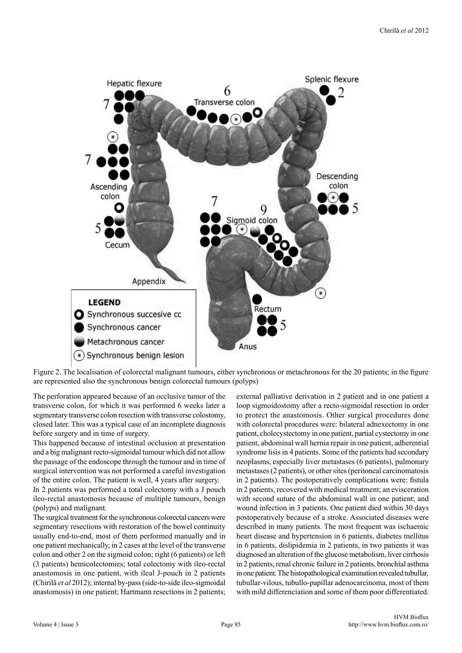

Figure 2. The localisation of colorectal malignant tumours, either synchronous or metachronous for the 20 patients; in the figure are represented also the synchronous benign colorectal tumours (polyps)

The perforation appeared because of an occlusive tumor of the transverse colon, for which it was performed 6 weeks later a segmentary transverse colon resection with transverse colostomy, closed later. This was a typical case of an incomplete diagnosis before surgery and in time of surgery.

This happened because of intestinal occlusion at presentation and a big malignant recto-sigmoidal tumour which did not allow the passage of the endoscope through the tumour and in time of surgical intervention was not performed a careful investigation of the entire colon. The patient is well, 4 years after surgery.

In 2 patients was performed a total colectomy with a J pouch ileo-rectal anastomosis because of multiple tumours, benign (polyps) and malignant.

The surgical treatment for the synchronous colorectal cancers were segmentary resections with restoration of the bowel continuity usually end-to-end, most of them performed manually and in one patient mechanically, in 2 cases at the level of the transverse colon and other 2 on the sigmoid colon; right (6 patients) or left (3 patients) hemicolectomies; total colectomy with ileo-rectal anastomosis in one patient, with ileal J-pouch in 2 patients (Chirilă *et al* 2012); internal by-pass (side-to-side ileo-sigmoidal anastomosis) in one patient; Hartmann resections in 2 patients;

external palliative derivation in 2 patient and in one patient a loop sigmoidostomy after a recto-sigmoidal resection in order to protect the anastomosis. Other surgical procedures done with colorectal procedures were: bilateral adnexectomy in one patient, cholecystectomy in one patient, partial cystectomy in one patient, abdominal wall hernia repair in one patient, adherential syndrome lisis in 4 patients. Some of the patients had secondary neoplasms, especially liver metastases (6 patients), pulmonary metastases (2 patients), or other sites (peritoneal carcinomatosis in 2 patients). The postoperatively complications were: fistula in 2 patients, recovered with medical treatment; an evisceration with second suture of the abdominal wall in one patient; and wound infection in 3 patients. One patient died within 30 days postoperatively because of a stroke. Associated diseases were described in many patients. The most frequent was ischaemic heart disease and hypertension in 6 patients, diabetes mellitus in 6 patients, dislipidemia in 2 patients, in two patients it was diagnosed an alteration of the glucose metabolism, liver cirrhosis in 2 patients, renal chronic failure in 2 patients, bronchial asthma in one patient. The histopathological examination revealed tubullar, tubullar-vilous, tubullo-papillar adenocarcinoma, most of them with mild differenciation and some of them poor differentiated.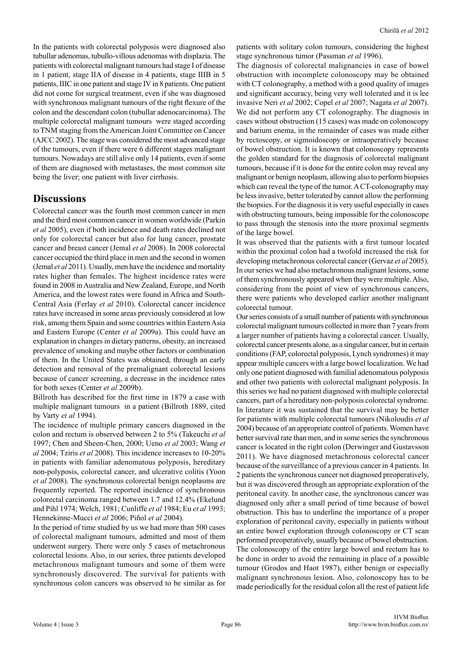In the patients with colorectal polyposis were diagnosed also tubullar adenomas, tubullo-villous adenomas with displazia. The patients with colorectal malignant tumours had stage I of disease in 1 patient, stage IIA of disease in 4 patients, stage IIIB in 5 patients, IIIC in one patient and stage IV in 8 patients. One patient did not come for surgical treatment, even if she was diagnosed with synchronous malignant tumours of the right flexure of the colon and the descendant colon (tubullar adenocarcinoma). The multiple colorectal malignant tumours were staged according to TNM staging from the American Joint Committee on Cancer (AJCC 2002). The stage was considered the most advanced stage of the tumours, even if there were 6 different stages malignant tumours. Nowadays are still alive only 14 patients, even if some of them are diagnosed with metastases, the most common site being the liver; one patient with liver cirrhosis.

## **Discussions**

Colorectal cancer was the fourth most common cancer in men and the third most common cancer in women worldwide (Parkin *et al* 2005), even if both incidence and death rates declined not only for colorectal cancer but also for lung cancer, prostate cancer and breast cancer (Jemal *et al* 2008). In 2008 colorectal cancer occupied the third place in men and the second in women (Jemal *et al* 2011). Usually, men have the incidence and mortality rates higher than females. The highest incidence rates were found in 2008 in Australia and New Zealand, Europe, and North America, and the lowest rates were found in Africa and South-Central Asia (Ferlay *et al* 2010). Colorectal cancer incidence rates have increased in some areas previously considered at low risk, among them Spain and some countries within Eastern Asia and Eastern Europe (Center *et al* 2009a). This could have an explanation in changes in dietary patterns, obesity, an increased prevalence of smoking and maybe other factors or combination of them. In the United States was obtained, through an early detection and removal of the premalignant colorectal lesions because of cancer screening, a decrease in the incidence rates for both sexes (Center *et al* 2009b).

Billroth has described for the first time in 1879 a case with multiple malignant tumours in a patient (Billroth 1889, cited by Varty *et al* 1994).

The incidence of multiple primary cancers diagnosed in the colon and rectum is observed between 2 to 5% (Takeuchi *et al* 1997; Chen and Sheen-Chen, 2000; Ueno *et al* 2003; Wang *et al* 2004; Tziris *et al* 2008). This incidence increases to 10-20% in patients with familiar adenomatous polyposis, hereditary non-polyposis, colorectal cancer, and ulcerative colitis (Yoon *et al* 2008). The synchronous colorectal benign neoplasms are frequently reported. The reported incidence of synchronous colorectal carcinoma ranged between 1.7 and 12.4% (Ekelund and Pihl 1974; Welch, 1981; Cunliffe *et al* 1984; Eu *et al* 1993; Hennekinne-Mucci *et al* 2006; Piñol *et al* 2004).

In the period of time studied by us we had more than 500 cases of colorectal malignant tumours, admitted and most of them underwent surgery. There were only 5 cases of metachronous colorectal lesions. Also, in our series, three patients developed metachronous malignant tumours and some of them were synchronously discovered. The survival for patients with synchronous colon cancers was observed to be similar as for patients with solitary colon tumours, considering the highest stage synchronous tumor (Passman *et al* 1996).

The diagnosis of colorectal malignancies in case of bowel obstruction with incomplete colonoscopy may be obtained with CT colonography, a method with a good quality of images and significant accuracy, being very well tolerated and it is lee invasive Neri *et al* 2002; Copel *et al* 2007; Nagata *et al* 2007). We did not perform any CT colonography. The diagnosis in cases without obstruction (15 cases) was made on colonoscopy and barium enema, in the remainder of cases was made either by rectoscopy, or sigmoidoscopy or intraoperatively because of bowel obstruction. It is known that colonoscopy represents the golden standard for the diagnosis of colorectal malignant tumours, because if it is done for the entire colon may reveal any malignant or benign neoplasm, allowing also to perform biopsies which can reveal the type of the tumor. A CT-colonography may be less invasive, better tolerated by cannot allow the performing the biopsies. For the diagnosis it is very useful especially in cases with obstructing tumours, being impossible for the colonoscope to pass through the stenosis into the more proximal segments of the large bowel.

It was observed that the patients with a first tumour located within the proximal colon had a twofold increased the risk for developing metachronous colorectal cancer (Gervaz *et al* 2005). In our series we had also metachronous malignant lesions, some of them synchronously appeared when they were multiple. Also, considering from the point of view of synchronous cancers, there were patients who developed earlier another malignant colorectal tumour.

Our series consists of a small number of patients with synchronous colorectal malignant tumours collected in more than 7 years from a larger number of patients having a colorectal cancer. Usually, colorectal cancer presents alone, as a singular cancer, but in certain conditions (FAP, colorectal polyposis, Lynch syndromes) it may appear multiple cancers with a large bowel localization. We had only one patient diagnosed with familial adenomatous polyposis and other two patients with colorectal malignant polyposis. In this series we had no patient diagnosed with multiple colorectal cancers, part of a hereditary non-polyposis colorectal syndrome. In literature it was sustained that the survival may be better for patients with multiple colorectal tumours (Nikoloudis *et al* 2004) because of an appropriate control of patients. Women have better survival rate than men, and in some series the synchronous cancer is located in the right colon (Derwinger and Gustavsson 2011). We have diagnosed metachronous colorectal cancer because of the surveillance of a previous cancer in 4 patients. In 2 patients the synchronous cancer not diagnosed preoperatively, but it was discovered through an appropriate exploration of the peritoneal cavity. In another case, the synchronous cancer was diagnosed only after a small period of time because of bowel obstruction. This has to underline the importance of a proper exploration of peritoneal cavity, especially in patients without an entire bowel exploration through colonoscopy or CT scan performed preoperatively, usually because of bowel obstruction. The colonoscopy of the entire large bowel and rectum has to be done in order to avoid the remaining in place of a possible tumour (Grodos and Haot 1987), either benign or especially malignant synchronous lesion. Also, colonoscopy has to be made periodically for the residual colon all the rest of patient life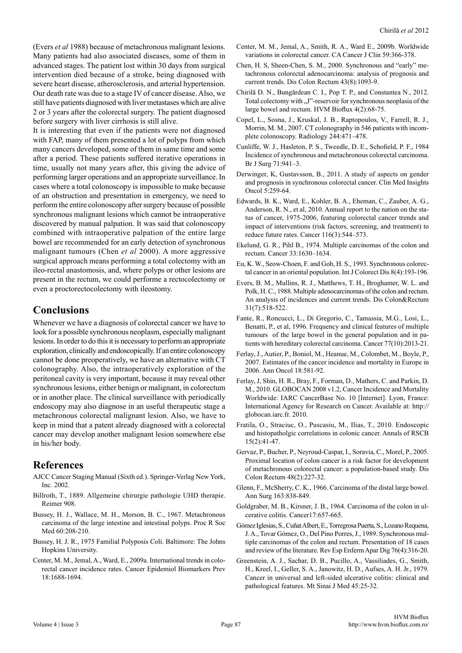(Evers *et al* 1988) because of metachronous malignant lesions. Many patients had also associated diseases, some of them in advanced stages. The patient lost within 30 days from surgical intervention died because of a stroke, being diagnosed with severe heart disease, atherosclerosis, and arterial hypertension. Our death rate was due to a stage IV of cancer disease. Also, we still have patients diagnosed with liver metastases which are alive 2 or 3 years after the colorectal surgery. The patient diagnosed before surgery with liver cirrhosis is still alive.

It is interesting that even if the patients were not diagnosed with FAP, many of them presented a lot of polyps from which many cancers developed, some of them in same time and some after a period. These patients suffered iterative operations in time, usually not many years after, this giving the advice of performing larger operations and an appropriate surveillance. In cases where a total colonoscopy is impossible to make because of an obstruction and presentation in emergency, we need to perform the entire colonoscopy after surgery because of possible synchronous malignant lesions which cannot be intraoperative discovered by manual palpation. It was said that colonoscopy combined with intraoperative palpation of the entire large bowel are recommended for an early detection of synchronous malignant tumours (Chen *et al* 2000). A more aggressive surgical approach means performing a total colectomy with an ileo-rectal anastomosis, and, where polyps or other lesions are present in the rectum, we could performe a rectocolectomy or even a proctorectocolectomy with ileostomy.

### **Conclusions**

Whenever we have a diagnosis of colorectal cancer we have to look for a possible synchronous neoplasm, especially malignant lesions. In order to do this it is necessary to perform an appropriate exploration, clinically and endoscopically. If an entire colonoscopy cannot be done preoperatively, we have an alternative with CT colonography. Also, the intraoperatively exploration of the peritoneal cavity is very important, because it may reveal other synchronous lesions, either benign or malignant, in colorectum or in another place. The clinical surveillance with periodically endoscopy may also diagnose in an useful therapeutic stage a metachronous colorectal malignant lesion. Also, we have to keep in mind that a patent already diagnosed with a colorectal cancer may develop another malignant lesion somewhere else in his/her body.

#### **References**

- AJCC Cancer Staging Manual (Sixth ed.). Springer-Verlag New York, Inc. 2002.
- Billroth, T., 1889. Allgemeine chirurgie pathologie UHD therapie. Reimer 908.
- Bussey, H. J., Wallace, M. H., Morson, B. C., 1967. Metachronous carcinoma of the large intestine and intestinal polyps. Proc R Soc Med 60:208-210.
- Bussey, H. J. R., 1975 Familial Polyposis Coli. Baltimore: The Johns Hopkins University.
- Center, M. M., Jemal, A., Ward, E., 2009a. International trends in colorectal cancer incidence rates. Cancer Epidemiol Biomarkers Prev 18:1688-1694.
- Center, M. M., Jemal, A., Smith, R. A., Ward E., 2009b. Worldwide variations in colorectal cancer. CA Cancer J Clin 59:366-378.
- Chen, H. S, Sheen-Chen, S. M., 2000. Synchronous and "early" metachronous colorectal adenocarcinoma: analysis of prognosis and current trends. Dis Colon Rectum 43(8):1093-9.
- Chirilă D. N., Bungărdean C. I., Pop T. P., and Constantea N., 2012. Total colectomy with "J"-reservoir for synchronous neoplasia of the large bowel and rectum. HVM Bioflux 4(2):68-75.
- Copel, L., Sosna, J., Kruskal, J. B., Raptopoulos, V., Farrell, R. J., Morrin, M. M., 2007. CT colonography in 546 patients with incomplete colonoscopy. Radiology 244:471–478.
- Cunliffe, W. J., Hasleton, P. S., Tweedle, D. E., Schofield, P. F., 1984 Incidence of synchronous and metachronous colorectal carcinoma. Br J Surg 71:941–3.
- Derwinger, K, Gustavsson, B., 2011. A study of aspects on gender and prognosis in synchronous colorectal cancer. Clin Med Insights Oncol 5:259-64.
- Edwards, B. K., Ward, E., Kohler, B. A., Eheman, C., Zauber, A. G., Anderson, R. N., et al, 2010. Annual report to the nation on the status of cancer, 1975-2006, featuring colorectal cancer trends and impact of interventions (risk factors, screening, and treatment) to reduce future rates. Cancer 116(3):544–573.
- Ekelund, G. R., Pihl B., 1974. Multiple carcinomas of the colon and rectum. Cancer 33:1630–1634.
- Eu, K. W., Seow-Choen, F. and Goh, H. S., 1993. Synchronous colorectal cancer in an oriental population. Int J Colorect Dis 8(4):193-196.
- Evers, B. M., Mullins, R. J., Matthews, T. H., Broghamer, W. L. and Polk, H. C., 1988. Multiple adenocarcinomas of the colon and rectum. An analysis of incidences and current trends. Dis Colon&Rectum 31(7):518-522.
- Fante, R., Roncucci, L., Di Gregorio, C., Tamassia, M.G., Losi, L., Benatti, P., et al, 1996. Frequency and clinical features of multiple tumours of the large bowel in the general population and in patients with hereditary colorectal carcinoma. Cancer 77(10):2013-21.
- Ferlay, J., Autier, P., Boniol, M., Heanue, M., Colombet, M., Boyle, P., 2007. Estimates of the cancer incidence and mortality in Europe in 2006. Ann Oncol 18:581-92.
- Ferlay, J, Shin, H. R., Bray, F., Forman, D., Mathers, C. and Parkin, D. M., 2010. GLOBOCAN 2008 v1.2, Cancer Incidence and Mortality Worldwide: IARC CancerBase No. 10 [Internet]. Lyon, France: International Agency for Research on Cancer. Available at: http:// globocan.iarc.fr. 2010.
- Fratila, O., Straciuc, O., Puscasiu, M., Ilias, T., 2010. Endoscopic and histopatholgic correlations in colonic cancer. Annals of RSCB 15(2):41-47.
- Gervaz, P., Bucher, P., Neyroud-Caspar, I., Soravia, C., Morel, P., 2005. Proximal location of colon cancer is a risk factor for development of metachronous colorectal cancer: a population-based study. Dis Colon Rectum 48(2):227-32.
- Glenn, F., McSherry, C. K., 1966. Carcinoma of the distal large bowel. Ann Surg 163:838-849.
- Goldgraber, M. B., Kirsner, J. B., 1964. Carcinoma of the colon in ulcerative colitis. Cancer17:657-665.
- Gómez Iglesias, S., Cuñat Albert, E., Torregrosa Puerta, S., Lozano Requena, J. A., Tovar Gómez, O., Del Pino Porres, J., 1989. Synchronous multiple carcinomas of the colon and rectum. Presentation of 18 cases and review of the literature. Rev Esp Enferm Apar Dig 76(4):316-20.
- Greenstein, A. J., Sachar, D. B., Pucillo, A., Vassiliades, G., Smith, H., Kreel, I., Geller, S. A., Janowitz, H. D., Aufses, A. H. Jr., 1979. Cancer in universal and left-sided ulcerative colitis: clinical and pathological features. Mt Sinai J Med 45:25-32.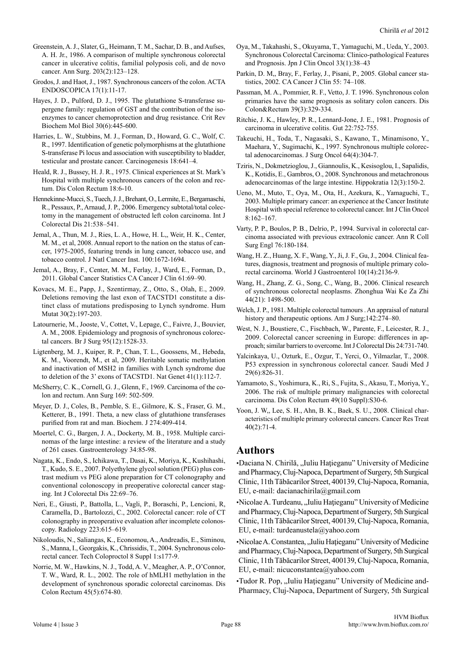- Greenstein, A. J., Slater, G,, Heimann, T. M., Sachar, D. B., and Aufses, A. H. Jr., 1986. A comparison of multiple synchronous colorectal cancer in ulcerative colitis, familial polyposis coli, and de novo cancer. Ann Surg. 203(2):123–128.
- Grodos, J. and Haot, J., 1987. Synchronous cancers of the colon. ACTA ENDOSCOPICA 17(1):11-17.
- Hayes, J. D., Pulford, D. J., 1995. The glutathione S-transferase supergene family: regulation of GST and the contribution of the isoenzymes to cancer chemoprotection and drug resistance. Crit Rev Biochem Mol Biol 30(6):445-600.
- Harries, L. W., Stubbins, M. J., Forman, D., Howard, G. C., Wolf, C. R., 1997. Identification of genetic polymorphisms at the glutathione S-transferase Pi locus and association with susceptibility to bladder, testicular and prostate cancer. Carcinogenesis 18:641–4.
- Heald, R. J., Bussey, H. J. R., 1975. Clinical experiences at St. Mark's Hospital with multiple synchronous cancers of the colon and rectum. Dis Colon Rectum 18:6-10.
- Hennekinne-Mucci, S., Tuech, J. J., Brehant, O., Lermite, E., Bergamaschi, R., Pessaux, P., Arnaud, J. P., 2006. Emergency subtotal/total colectomy in the management of obstructed left colon carcinoma. Int J Colorectal Dis 21:538–541.
- Jemal, A., Thun, M. J., Ries, L. A., Howe, H. L,, Weir, H. K., Center, M. M., et al, 2008. Annual report to the nation on the status of cancer, 1975-2005, featuring trends in lung cancer, tobacco use, and tobacco control. J Natl Cancer Inst. 100:1672-1694.
- Jemal, A., Bray, F., Center, M. M., Ferlay, J., Ward, E., Forman, D., 2011. Global Cancer Statistics CA Cancer J Clin 61:69–90.
- Kovacs, M. E., Papp, J., Szentirmay, Z., Otto, S., Olah, E., 2009. Deletions removing the last exon of TACSTD1 constitute a distinct class of mutations predisposing to Lynch syndrome. Hum Mutat 30(2):197-203.
- Latournerie, M., Jooste, V., Cottet, V., Lepage, C., Faivre, J., Bouvier, A. M., 2008. Epidemiology and prognosis of synchronous colorectal cancers. Br J Surg 95(12):1528-33.
- Ligtenberg, M. J., Kuiper, R. P., Chan, T. L., Goossens, M., Hebeda, K. M., Voorendt, M., et al, 2009. Heritable somatic methylation and inactivation of MSH2 in families with Lynch syndrome due to deletion of the 3' exons of TACSTD1. Nat Genet 41(1):112-7.
- McSherry, C. K., Cornell, G. J., Glenn, F., 1969. Carcinoma of the colon and rectum. Ann Surg 169: 502-509.
- Meyer, D. J., Coles, B., Pemble, S. E., Gilmore, K. S., Fraser, G. M., Ketterer, B., 1991. Theta, a new class of glutathione transferases purified from rat and man. Biochem. J 274:409-414.
- Moertel, C. G., Bargen, J. A., Dockerty, M. B., 1958. Multiple carcinomas of the large intestine: a review of the literature and a study of 261 cases. Gastroenterology 34:85-98.
- Nagata, K., Endo, S., Ichikawa, T., Dasai, K., Moriya, K., Kushihashi, T., Kudo, S. E., 2007. Polyethylene glycol solution (PEG) plus contrast medium vs PEG alone preparation for CT colonography and conventional colonoscopy in preoperative colorectal cancer staging. Int J Colorectal Dis 22:69–76.
- Neri, E., Giusti, P., Battolla, L., Vagli, P., Boraschi, P., Lencioni, R, Caramella, D., Bartolozzi, C., 2002. Colorectal cancer: role of CT colonography in preoperative evaluation after incomplete colonoscopy. Radiology 223:615–619.
- Nikoloudis, N., Saliangas, K., Economou, A., Andreadis, E., Siminou, S., Manna, I., Georgakis, K., Chrissidis, T., 2004. Synchronous colorectal cancer. Tech Coloproctol 8 Suppl 1:s177-9.
- Norrie, M. W., Hawkins, N. J., Todd, A. V., Meagher, A. P., O'Connor, T. W., Ward, R. L., 2002. The role of hMLH1 methylation in the development of synchronous sporadic colorectal carcinomas. Dis Colon Rectum 45(5):674-80.
- Oya, M., Takahashi, S., Okuyama, T., Yamaguchi, M., Ueda, Y., 2003. Synchronous Colorectal Carcinoma: Clinico-pathological Features and Prognosis. Jpn J Clin Oncol 33(1):38–43
- Parkin, D. M,, Bray, F., Ferlay, J., Pisani, P., 2005. Global cancer statistics, 2002. CA Cancer J Clin 55: 74–108.
- Passman, M. A., Pommier, R. F., Vetto, J. T. 1996. Synchronous colon primaries have the same prognosis as solitary colon cancers. Dis Colon&Rectum 39(3):329-334.
- Ritchie, J. K., Hawley, P. R., Lennard-Jone, J. E., 1981. Prognosis of carcinoma in ulcerative colitis. Gut 22:752-755.
- Takeuchi, H., Toda, T., Nagasaki, S., Kawano, T., Minamisono, Y., Maehara, Y., Sugimachi, K., 1997. Synchronous multiple colorectal adenocarcinomas. J Surg Oncol 64(4):304-7.
- Tziris, N., Dokmetzioglou, J., Giannoulis, K., Kesisoglou, I., Sapalidis, K., Kotidis, E., Gambros, O., 2008. Synchronous and metachronous adenocarcinomas of the large intestine. Hippokratia 12(3):150-2.
- Ueno, M., Muto, T., Oya, M., Ota, H., Azekura, K., Yamaguchi, T., 2003. Multiple primary cancer: an experience at the Cancer Institute Hospital with special reference to colorectal cancer. Int J Clin Oncol 8:162–167.
- Varty, P. P., Boulos, P. B., Delrio, P., 1994. Survival in colorectal carcinoma associated with previous extracolonic cancer. Ann R Coll Surg Engl 76:180-184.
- Wang, H. Z., Huang, X. F., Wang, Y., Ji, J. F., Gu, J., 2004. Clinical features, diagnosis, treatment and prognosis of multiple primary colorectal carcinoma. World J Gastroenterol 10(14):2136-9.
- Wang, H., Zhang, Z. G., Song, C., Wang, B., 2006. Clinical research of synchronous colorectal neoplasms. Zhonghua Wai Ke Za Zhi 44(21): 1498-500.
- Welch, J. P., 1981. Multiple colorectal tumours . An appraisal of natural history and therapeutic options. Am J Surg;142:274–80.
- West, N. J., Boustiere, C., Fischbach, W., Parente, F., Leicester, R. J., 2009. Colorectal cancer screening in Europe: differences in approach; similar barriers to overcome. Int J Colorectal Dis 24:731-740.
- Yalcinkaya, U., Ozturk, E., Ozgur, T., Yerci, O., Yilmazlar, T., 2008. P53 expression in synchronous colorectal cancer. Saudi Med J 29(6):826-31.
- Yamamoto, S., Yoshimura, K., Ri, S., Fujita, S., Akasu, T., Moriya, Y., 2006. The risk of multiple primary malignancies with colorectal carcinoma. Dis Colon Rectum 49(10 Suppl):S30-6.
- Yoon, J. W,, Lee, S. H., Ahn, B. K., Baek, S. U., 2008. Clinical characteristics of multiple primary colorectal cancers. Cancer Res Treat 40(2):71-4.

#### **Authors**

•Daciana N. Chirilă, "Iuliu Hațieganu" University of Medicine and Pharmacy, Cluj-Napoca, Department of Surgery, 5th Surgical Clinic, 11th Tăbăcarilor Street, 400139, Cluj-Napoca, Romania, EU, e-mail: dacianachirila@gmail.com

•Nicolae A. Turdeanu, "Iuliu Hațieganu" University of Medicine and Pharmacy, Cluj-Napoca, Department of Surgery, 5th Surgical Clinic, 11th Tăbăcarilor Street, 400139, Cluj-Napoca, Romania, EU, e-mail: turdeanustela@yahoo.com

•Nicolae A. Constantea, "Iuliu Hațieganu" University of Medicine and Pharmacy, Cluj-Napoca, Department of Surgery, 5th Surgical Clinic, 11th Tăbăcarilor Street, 400139, Cluj-Napoca, Romania, EU, e-mail: nicuconstantea@yahoo.com

•Tudor R. Pop, "Iuliu Hațieganu" University of Medicine and-Pharmacy, Cluj-Napoca, Department of Surgery, 5th Surgical